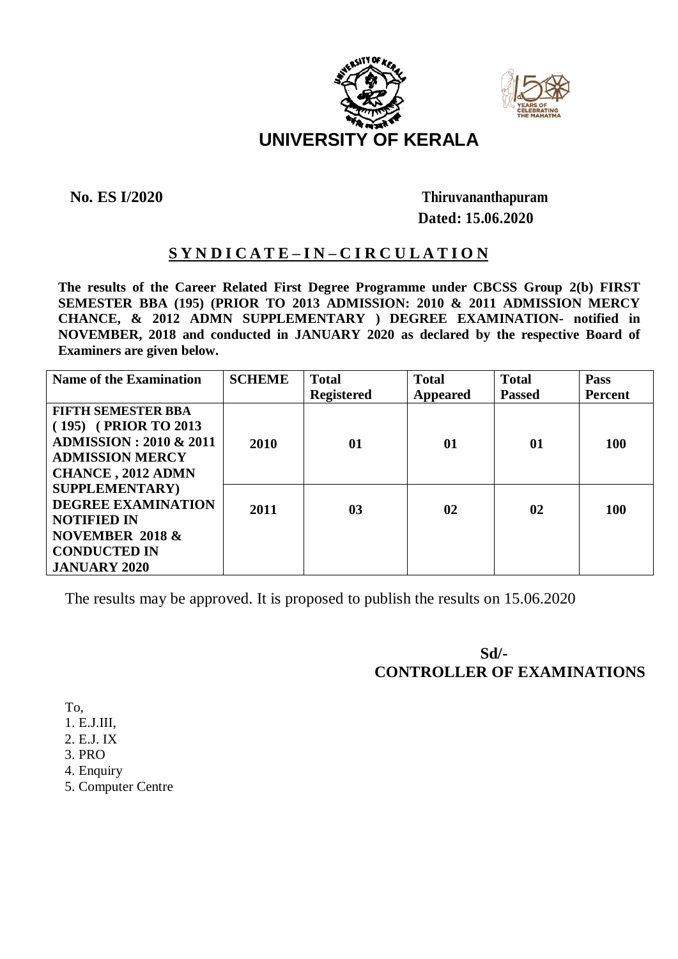



## **No. ES I/2020 Thiruvananthapuram Dated: 15.06.2020**

## **S Y N D I C A T E – I N – C I R C U L A T I O N**

**The results of the Career Related First Degree Programme under CBCSS Group 2(b) FIRST SEMESTER BBA (195) (PRIOR TO 2013 ADMISSION: 2010 & 2011 ADMISSION MERCY CHANCE, & 2012 ADMN SUPPLEMENTARY ) DEGREE EXAMINATION- notified in NOVEMBER, 2018 and conducted in JANUARY 2020 as declared by the respective Board of Examiners are given below.**

| <b>Name of the Examination</b> | <b>SCHEME</b> | <b>Total</b>      | <b>Total</b>    | <b>Total</b>  | Pass           |
|--------------------------------|---------------|-------------------|-----------------|---------------|----------------|
|                                |               | <b>Registered</b> | <b>Appeared</b> | <b>Passed</b> | <b>Percent</b> |
| <b>FIFTH SEMESTER BBA</b>      |               |                   |                 |               |                |
| (195) (PRIOR TO 2013)          |               |                   |                 |               |                |
| <b>ADMISSION</b> : 2010 & 2011 | 2010          | 01                | 01              | 01            | <b>100</b>     |
| <b>ADMISSION MERCY</b>         |               |                   |                 |               |                |
| <b>CHANCE, 2012 ADMN</b>       |               |                   |                 |               |                |
| <b>SUPPLEMENTARY</b> )         |               |                   |                 |               |                |
| <b>DEGREE EXAMINATION</b>      | 2011          | 0 <sub>3</sub>    | 02              | 02            | <b>100</b>     |
| <b>NOTIFIED IN</b>             |               |                   |                 |               |                |
| <b>NOVEMBER 2018 &amp;</b>     |               |                   |                 |               |                |
| <b>CONDUCTED IN</b>            |               |                   |                 |               |                |
| <b>JANUARY 2020</b>            |               |                   |                 |               |                |

The results may be approved. It is proposed to publish the results on 15.06.2020

**Sd/- CONTROLLER OF EXAMINATIONS**

To,

- 1. E.J.III,
- 2. E.J. IX
- 3. PRO
- 4. Enquiry
- 5. Computer Centre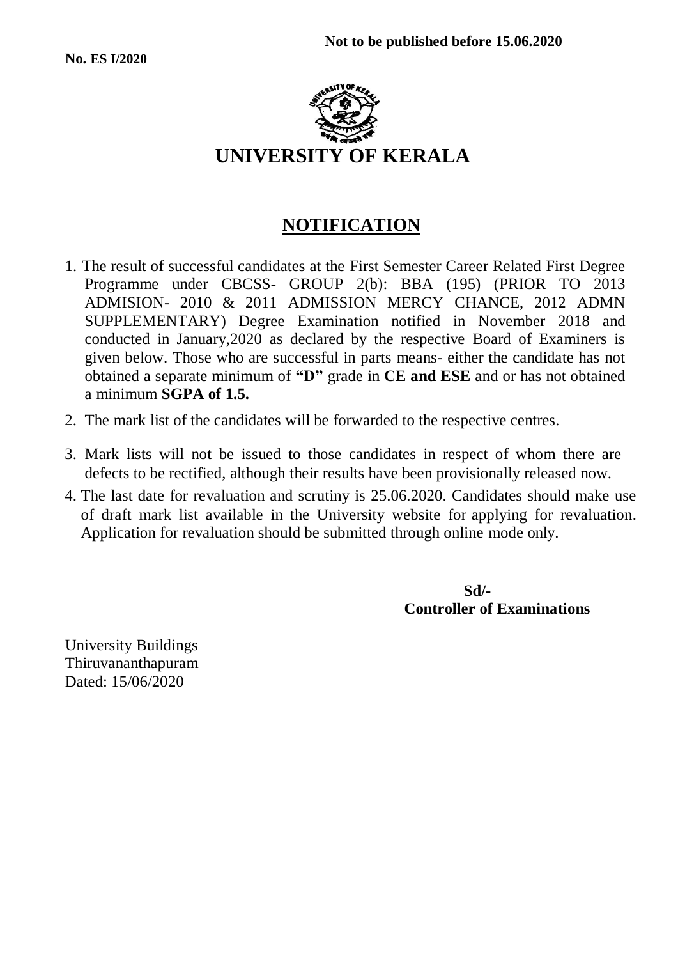

# **NOTIFICATION**

- 1. The result of successful candidates at the First Semester Career Related First Degree Programme under CBCSS- GROUP 2(b): BBA (195) (PRIOR TO 2013 ADMISION- 2010 & 2011 ADMISSION MERCY CHANCE, 2012 ADMN SUPPLEMENTARY) Degree Examination notified in November 2018 and conducted in January,2020 as declared by the respective Board of Examiners is given below. Those who are successful in parts means- either the candidate has not obtained a separate minimum of **"D"** grade in **CE and ESE** and or has not obtained a minimum **SGPA of 1.5.**
- 2. The mark list of the candidates will be forwarded to the respective centres.
- 3. Mark lists will not be issued to those candidates in respect of whom there are defects to be rectified, although their results have been provisionally released now.
- 4. The last date for revaluation and scrutiny is 25.06.2020. Candidates should make use of draft mark list available in the University website for applying for revaluation. Application for revaluation should be submitted through online mode only.

 **Sd/- Controller of Examinations**

University Buildings Thiruvananthapuram Dated: 15/06/2020